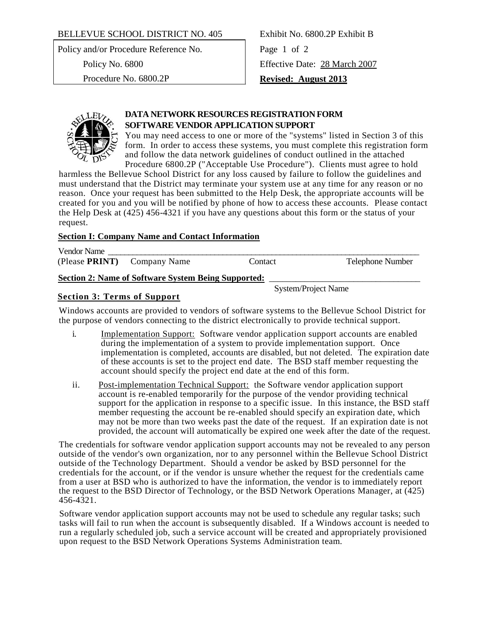### BELLEVUE SCHOOL DISTRICT NO. 405 Exhibit No. 6800.2P Exhibit B

Policy and/or Procedure Reference No. Page 1 of 2

Policy No. 6800 Effective Date: 28 March 2007 Procedure No. 6800.2P **Revised: August 2013**



# **DATA NETWORK RESOURCES REGISTRATION FORM SOFTWARE VENDOR APPLICATION SUPPORT**

You may need access to one or more of the "systems" listed in Section 3 of this form. In order to access these systems, you must complete this registration form and follow the data network guidelines of conduct outlined in the attached Procedure 6800.2P ("Acceptable Use Procedure"). Clients must agree to hold

harmless the Bellevue School District for any loss caused by failure to follow the guidelines and must understand that the District may terminate your system use at any time for any reason or no reason. Once your request has been submitted to the Help Desk, the appropriate accounts will be created for you and you will be notified by phone of how to access these accounts. Please contact the Help Desk at (425) 456-4321 if you have any questions about this form or the status of your request.

## **Section I: Company Name and Contact Information**

Vendor Name (Please **PRINT**) Company Name Contact Telephone Number

# Section 2: Name of Software System Being Supported:

System/Project Name

## **Section 3: Terms of Support**

Windows accounts are provided to vendors of software systems to the Bellevue School District for the purpose of vendors connecting to the district electronically to provide technical support.

- i. Implementation Support: Software vendor application support accounts are enabled during the implementation of a system to provide implementation support. Once implementation is completed, accounts are disabled, but not deleted. The expiration date of these accounts is set to the project end date. The BSD staff member requesting the account should specify the project end date at the end of this form.
- ii. Post-implementation Technical Support: the Software vendor application support account is re-enabled temporarily for the purpose of the vendor providing technical support for the application in response to a specific issue. In this instance, the BSD staff member requesting the account be re-enabled should specify an expiration date, which may not be more than two weeks past the date of the request. If an expiration date is not provided, the account will automatically be expired one week after the date of the request.

The credentials for software vendor application support accounts may not be revealed to any person outside of the vendor's own organization, nor to any personnel within the Bellevue School District outside of the Technology Department. Should a vendor be asked by BSD personnel for the credentials for the account, or if the vendor is unsure whether the request for the credentials came from a user at BSD who is authorized to have the information, the vendor is to immediately report the request to the BSD Director of Technology, or the BSD Network Operations Manager, at (425) 456-4321.

Software vendor application support accounts may not be used to schedule any regular tasks; such tasks will fail to run when the account is subsequently disabled. If a Windows account is needed to run a regularly scheduled job, such a service account will be created and appropriately provisioned upon request to the BSD Network Operations Systems Administration team.